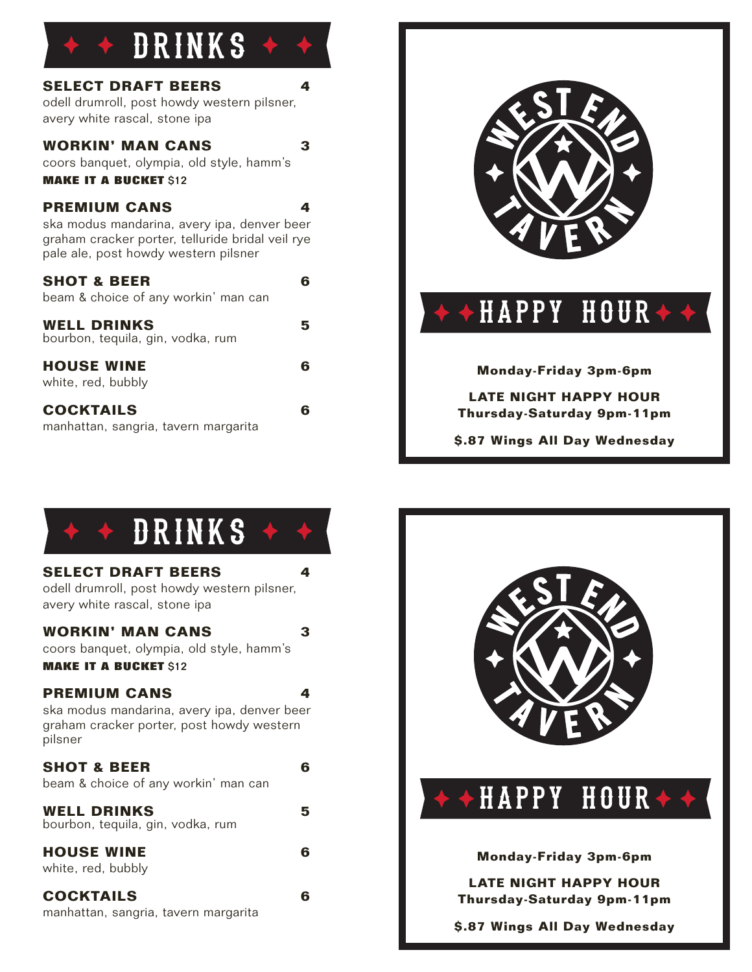## + DRINKS +

| <b>SELECT DRAFT BEERS</b><br>odell drumroll, post howdy western pilsner,<br>avery white rascal, stone ipa                                                      | 4 |
|----------------------------------------------------------------------------------------------------------------------------------------------------------------|---|
| <b>WORKIN' MAN CANS</b><br>coors banquet, olympia, old style, hamm's<br><b>MAKE IT A BUCKET \$12</b>                                                           | 3 |
| <b>PREMIUM CANS</b><br>ska modus mandarina, avery ipa, denver beer<br>graham cracker porter, telluride bridal veil rye<br>pale ale, post howdy western pilsner | 4 |
| <b>SHOT &amp; BEER</b><br>beam & choice of any workin' man can                                                                                                 | 6 |
| <b>WELL DRINKS</b><br>bourbon, tequila, gin, vodka, rum                                                                                                        | 5 |
| <b>HOUSE WINE</b><br>white, red, bubbly                                                                                                                        | 6 |
| <b>COCKTAILS</b><br>manhattan, sangria, tavern margarita                                                                                                       | 6 |